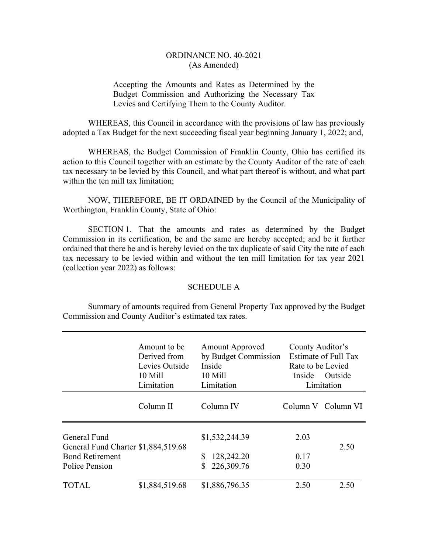## ORDINANCE NO. 40-2021 (As Amended)

## Accepting the Amounts and Rates as Determined by the Budget Commission and Authorizing the Necessary Tax Levies and Certifying Them to the County Auditor.

 WHEREAS, this Council in accordance with the provisions of law has previously adopted a Tax Budget for the next succeeding fiscal year beginning January 1, 2022; and,

 WHEREAS, the Budget Commission of Franklin County, Ohio has certified its action to this Council together with an estimate by the County Auditor of the rate of each tax necessary to be levied by this Council, and what part thereof is without, and what part within the ten mill tax limitation:

 NOW, THEREFORE, BE IT ORDAINED by the Council of the Municipality of Worthington, Franklin County, State of Ohio:

SECTION 1. That the amounts and rates as determined by the Budget Commission in its certification, be and the same are hereby accepted; and be it further ordained that there be and is hereby levied on the tax duplicate of said City the rate of each tax necessary to be levied within and without the ten mill limitation for tax year 2021 (collection year 2022) as follows:

## SCHEDULE A

 Summary of amounts required from General Property Tax approved by the Budget Commission and County Auditor's estimated tax rates.

|                                                                                                 | Amount to be<br>Derived from<br>Levies Outside<br>10 Mill<br>Limitation | <b>Amount Approved</b><br>by Budget Commission<br>Inside<br>10 Mill<br>Limitation | County Auditor's<br>Estimate of Full Tax<br>Rate to be Levied<br>Outside<br>Inside<br>Limitation |                    |
|-------------------------------------------------------------------------------------------------|-------------------------------------------------------------------------|-----------------------------------------------------------------------------------|--------------------------------------------------------------------------------------------------|--------------------|
|                                                                                                 | Column II                                                               | Column IV                                                                         |                                                                                                  | Column V Column VI |
| General Fund<br>General Fund Charter \$1,884,519.68<br><b>Bond Retirement</b><br>Police Pension |                                                                         | \$1,532,244.39<br>128,242.20<br>226,309.76                                        | 2.03<br>0.17<br>0.30                                                                             | 2.50               |
| TOTAL                                                                                           | \$1,884,519.68                                                          | \$1,886,796.35                                                                    | 2.50                                                                                             | 2.50               |